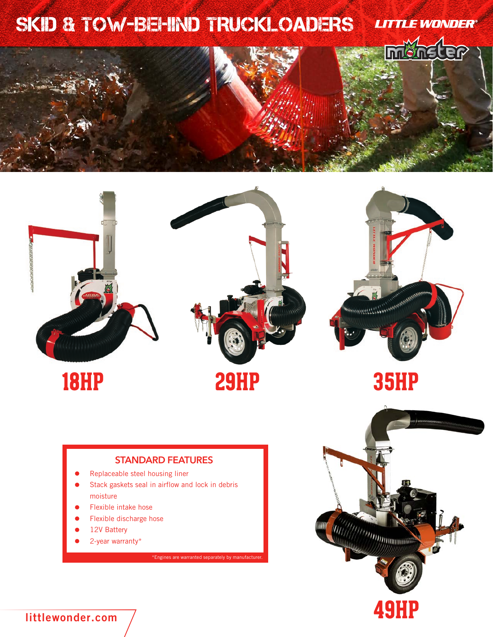



### **STANDARD FEATURES**

- Replaceable steel housing liner
- Stack gaskets seal in airflow and lock in debris moisture
- Flexible intake hose
- Flexible discharge hose
- 12V Battery
- 2-year warranty\*

 $*$ Engines are warranted separately by manufacture



**littlewonder.com**